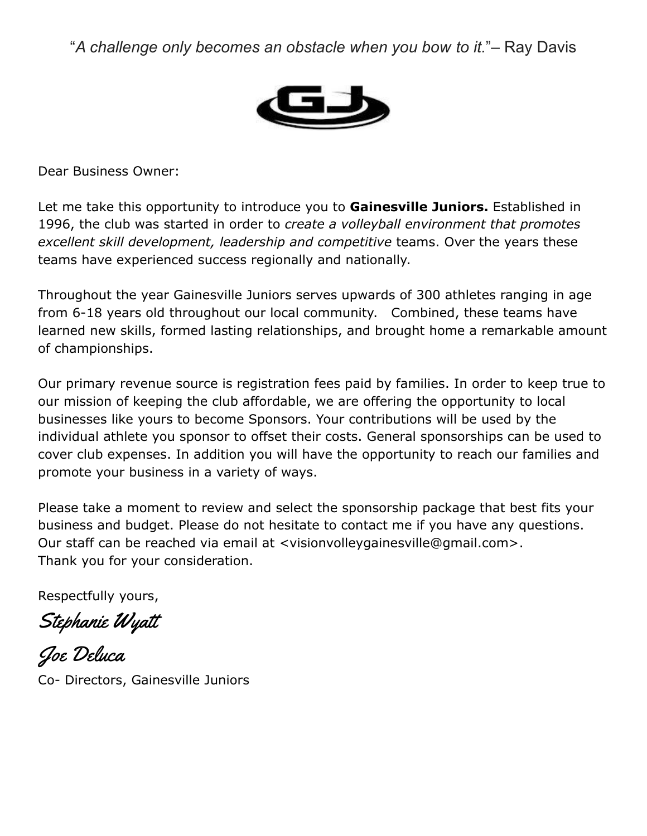"*A challenge only becomes an obstacle when you bow to it.*"– Ray Davis



Dear Business Owner:

Let me take this opportunity to introduce you to **Gainesville Juniors.** Established in 1996, the club was started in order to *create a volleyball environment that promotes excellent skill development, leadership and competitive* teams. Over the years these teams have experienced success regionally and nationally.

Throughout the year Gainesville Juniors serves upwards of 300 athletes ranging in age from 6-18 years old throughout our local community. Combined, these teams have learned new skills, formed lasting relationships, and brought home a remarkable amount of championships.

Our primary revenue source is registration fees paid by families. In order to keep true to our mission of keeping the club affordable, we are offering the opportunity to local businesses like yours to become Sponsors. Your contributions will be used by the individual athlete you sponsor to offset their costs. General sponsorships can be used to cover club expenses. In addition you will have the opportunity to reach our families and promote your business in a variety of ways.

Please take a moment to review and select the sponsorship package that best fits your business and budget. Please do not hesitate to contact me if you have any questions. Our staff can be reached via email at <visionvolleygainesville@gmail.com>. Thank you for your consideration.

Respectfully yours,

Stephanie Wyat

Joe Deluca Co- Directors, Gainesville Juniors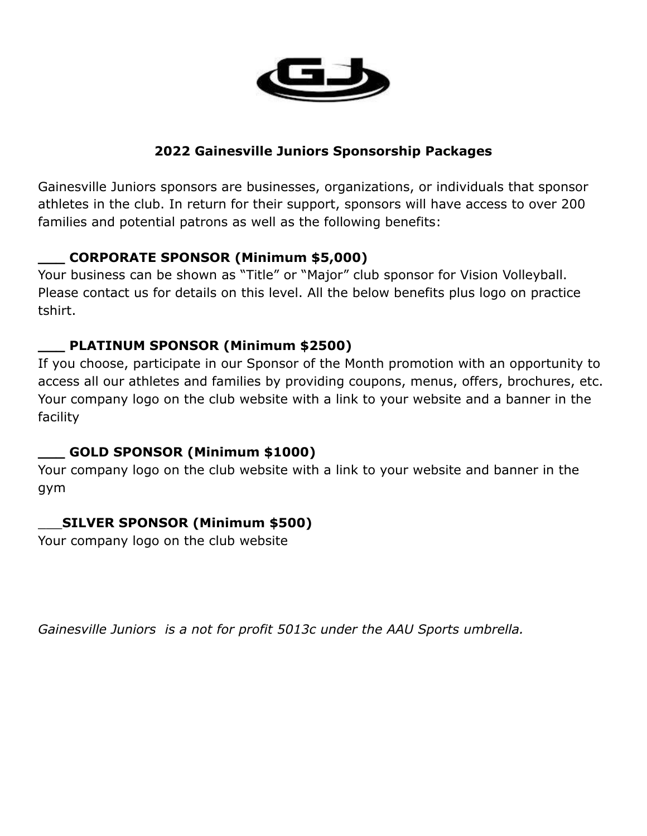

#### **2022 Gainesville Juniors Sponsorship Packages**

Gainesville Juniors sponsors are businesses, organizations, or individuals that sponsor athletes in the club. In return for their support, sponsors will have access to over 200 families and potential patrons as well as the following benefits:

## **\_\_\_ CORPORATE SPONSOR (Minimum \$5,000)**

Your business can be shown as "Title" or "Major" club sponsor for Vision Volleyball. Please contact us for details on this level. All the below benefits plus logo on practice tshirt.

## **\_\_\_ PLATINUM SPONSOR (Minimum \$2500)**

If you choose, participate in our Sponsor of the Month promotion with an opportunity to access all our athletes and families by providing coupons, menus, offers, brochures, etc. Your company logo on the club website with a link to your website and a banner in the facility

#### **\_\_\_ GOLD SPONSOR (Minimum \$1000)**

Your company logo on the club website with a link to your website and banner in the gym

# \_\_\_**SILVER SPONSOR (Minimum \$500)**

Your company logo on the club website

*Gainesville Juniors is a not for profit 5013c under the AAU Sports umbrella.*